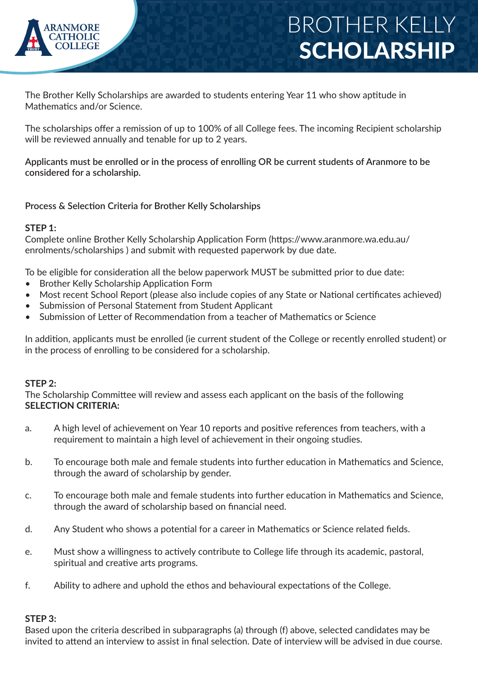

The Brother Kelly Scholarships are awarded to students entering Year 11 who show aptitude in Mathematics and/or Science.

The scholarships offer a remission of up to 100% of all College fees. The incoming Recipient scholarship will be reviewed annually and tenable for up to 2 years.

**Applicants must be enrolled or in the process of enrolling OR be current students of Aranmore to be considered for a scholarship.**

**Process & Selection Criteria for Brother Kelly Scholarships**

### **STEP 1:**

Complete online Brother Kelly Scholarship Application Form (https://www.aranmore.wa.edu.au/ enrolments/scholarships ) and submit with requested paperwork by due date.

To be eligible for consideration all the below paperwork MUST be submitted prior to due date:

- Brother Kelly Scholarship Application Form
- Most recent School Report (please also include copies of any State or National certificates achieved)
- Submission of Personal Statement from Student Applicant
- Submission of Letter of Recommendation from a teacher of Mathematics or Science

In addition, applicants must be enrolled (ie current student of the College or recently enrolled student) or in the process of enrolling to be considered for a scholarship.

#### **STEP 2:**

The Scholarship Committee will review and assess each applicant on the basis of the following **SELECTION CRITERIA:**

- a. A high level of achievement on Year 10 reports and positive references from teachers, with a requirement to maintain a high level of achievement in their ongoing studies.
- b. To encourage both male and female students into further education in Mathematics and Science, through the award of scholarship by gender.
- c. To encourage both male and female students into further education in Mathematics and Science, through the award of scholarship based on financial need.
- d. Any Student who shows a potential for a career in Mathematics or Science related fields.
- e. Must show a willingness to actively contribute to College life through its academic, pastoral, spiritual and creative arts programs.
- f. Ability to adhere and uphold the ethos and behavioural expectations of the College.

### **STEP 3:**

Based upon the criteria described in subparagraphs (a) through (f) above, selected candidates may be invited to attend an interview to assist in final selection. Date of interview will be advised in due course.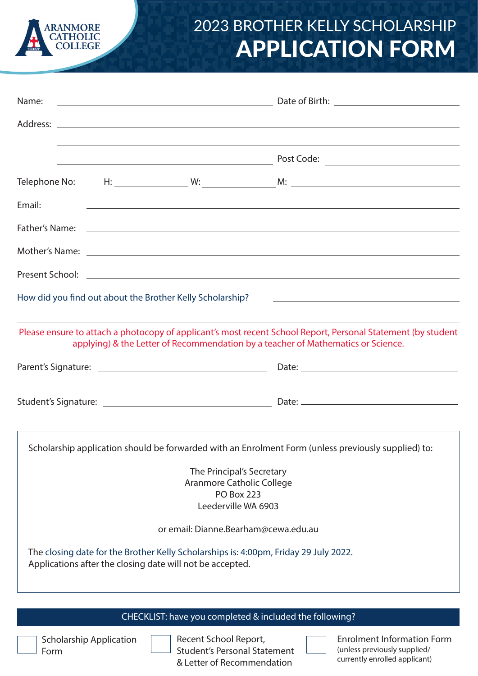

# 2023 BROTHER KELLY SCHOLARSHIP APPLICATION FORM

| Name:                                          |                                                                                                                        |                           |                                                                                                                                                                                                                                                                                      |  |  |  |
|------------------------------------------------|------------------------------------------------------------------------------------------------------------------------|---------------------------|--------------------------------------------------------------------------------------------------------------------------------------------------------------------------------------------------------------------------------------------------------------------------------------|--|--|--|
|                                                |                                                                                                                        |                           |                                                                                                                                                                                                                                                                                      |  |  |  |
|                                                | <u> 2002 - Johann Stoff, deutscher Stoffen und der Stoffen und der Stoffen und der Stoffen und der Stoffen und der</u> |                           |                                                                                                                                                                                                                                                                                      |  |  |  |
|                                                |                                                                                                                        |                           |                                                                                                                                                                                                                                                                                      |  |  |  |
| Email:                                         |                                                                                                                        |                           | <u> 1999 - Johann Stoff, amerikansk politiker (d. 1989)</u>                                                                                                                                                                                                                          |  |  |  |
|                                                |                                                                                                                        |                           |                                                                                                                                                                                                                                                                                      |  |  |  |
|                                                |                                                                                                                        |                           |                                                                                                                                                                                                                                                                                      |  |  |  |
|                                                |                                                                                                                        |                           | Present School: <u>Communication</u> Communication of the Communication of the Communication of the Communication of the Communication of the Communication of the Communication of the Communication of the Communication of the C                                                  |  |  |  |
|                                                | How did you find out about the Brother Kelly Scholarship?                                                              |                           | <u> 2008 - Andrea Andrew Maria (h. 1878).</u>                                                                                                                                                                                                                                        |  |  |  |
|                                                |                                                                                                                        |                           | ,我们也不能在这里的时候,我们也不能在这里的时候,我们也不能会在这里的时候,我们也不能会在这里的时候,我们也不能会在这里的时候,我们也不能会在这里的时候,我们也<br>Please ensure to attach a photocopy of applicant's most recent School Report, Personal Statement (by student<br>applying) & the Letter of Recommendation by a teacher of Mathematics or Science. |  |  |  |
|                                                |                                                                                                                        |                           |                                                                                                                                                                                                                                                                                      |  |  |  |
|                                                |                                                                                                                        |                           |                                                                                                                                                                                                                                                                                      |  |  |  |
|                                                |                                                                                                                        |                           | Scholarship application should be forwarded with an Enrolment Form (unless previously supplied) to:                                                                                                                                                                                  |  |  |  |
|                                                |                                                                                                                        | The Principal's Secretary |                                                                                                                                                                                                                                                                                      |  |  |  |
| Aranmore Catholic College<br><b>PO Box 223</b> |                                                                                                                        |                           |                                                                                                                                                                                                                                                                                      |  |  |  |
|                                                |                                                                                                                        | Leederville WA 6903       |                                                                                                                                                                                                                                                                                      |  |  |  |
|                                                |                                                                                                                        |                           | or email: Dianne.Bearham@cewa.edu.au                                                                                                                                                                                                                                                 |  |  |  |
|                                                | Applications after the closing date will not be accepted.                                                              |                           | The closing date for the Brother Kelly Scholarships is: 4:00pm, Friday 29 July 2022.                                                                                                                                                                                                 |  |  |  |
|                                                |                                                                                                                        |                           | CHECKLIST: have you completed & included the following?                                                                                                                                                                                                                              |  |  |  |
|                                                |                                                                                                                        |                           |                                                                                                                                                                                                                                                                                      |  |  |  |

Scholarship Application Form

Recent School Report, Student's Personal Statement & Letter of Recommendation

Enrolment Information Form (unless previously supplied/ currently enrolled applicant)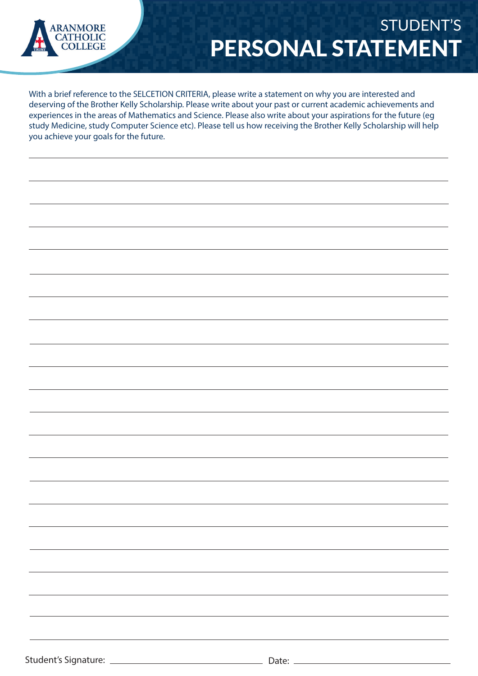

### STUDENT'S PERSONAL STATEMENT

With a brief reference to the SELCETION CRITERIA, please write a statement on why you are interested and deserving of the Brother Kelly Scholarship. Please write about your past or current academic achievements and experiences in the areas of Mathematics and Science. Please also write about your aspirations for the future (eg study Medicine, study Computer Science etc). Please tell us how receiving the Brother Kelly Scholarship will help you achieve your goals for the future.